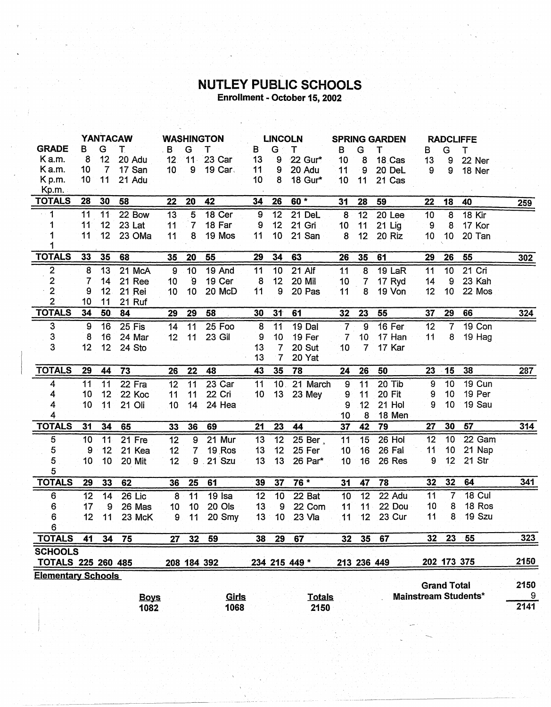## **NUTLEY PUBLIC SCHOOLS**<br>Enrollment - October 15, 2002

|                           | <b>YANTACAW</b> |                 |                     | <b>WASHINGTON</b> |                 | <b>LINCOLN</b> |                  | <b>SPRING GARDEN</b> |                       |                  | <b>RADCLIFFE</b> |               |                    |                 |                             |           |
|---------------------------|-----------------|-----------------|---------------------|-------------------|-----------------|----------------|------------------|----------------------|-----------------------|------------------|------------------|---------------|--------------------|-----------------|-----------------------------|-----------|
| <b>GRADE</b>              | B               | G               | т                   | B                 | G               | Т              | B                | G                    | Т                     | B                | G                | т             | В                  | G               | т                           |           |
| Ka.m.                     | 8               | 12 <sub>2</sub> | 20 Adu              | 12 <sub>2</sub>   | $11 -$          | 23 Car         | 13               | 9                    | 22 Gur*               | 10               | 8                | 18 Cas        | 13                 | 9               | 22 Ner                      |           |
| Ka.m.                     | 10              | $\overline{7}$  | 17 San              | 10 <sub>1</sub>   | 9               | 19 Car         | 11               | 9                    | 20 Adu                | 11               | 9                | 20 DeL        | 9                  | 9               | 18 Ner                      |           |
| K p.m.                    | 10              | 11              | 21 Adu              |                   |                 |                | 10               | 8                    | 18 Gur*               | 10               | 11               | 21 Cas        |                    |                 |                             |           |
| Kp.m.                     |                 |                 |                     |                   |                 |                |                  |                      |                       |                  |                  |               |                    |                 |                             |           |
| <b>TOTALS</b>             | 28              | 30              | 58                  | 22                | 20              | 42             | 34               | 26                   | $60 *$                | 31               | 28               | 59            | 22                 | 18              | 40                          | 259       |
| 1                         | 11              | 11              | 22 Bow              | $\overline{13}$   | 5               | 18 Cer         | $\boldsymbol{9}$ | 12                   | 21 DeL                | $\overline{8}$   | $\overline{12}$  | 20 Lee        | 10                 | 8               | 18 Kir                      |           |
| 1                         | 11              | 12              | 23 Lat              | 11                | 7               | 18 Far         | 9                | 12                   | 21 Gri                | 10               | 11               | 21 Lig        | 9                  | 8               | 17 Kor                      |           |
| 1                         | 11              | 12              | 23 OMa              | 11                | 8               | 19 Mos         | 11               | 10                   | 21 San                | 8                | 12               | 20 Riz        | 10                 | 10              | 20 Tan                      |           |
|                           |                 |                 |                     |                   |                 |                |                  |                      |                       |                  |                  |               |                    |                 |                             |           |
| <b>TOTALS</b>             | 33              | 35              | 68                  | 35                | 20              | 55             | 29               | 34                   | 63                    | 26               | 35               | 61            | 29                 | 26              | 55                          | 302       |
| $\boldsymbol{2}$          | 8               | 13              | 21 McA              | $\boldsymbol{9}$  | 10              | 19 And         | 11               | 10                   | 21 Alf                | 11               | 8                | 19 LaR        | 11                 | 10              | 21 Cri                      |           |
| $\mathbf 2$               | $\overline{7}$  | 14              | 21 Ree              | 10                | $\mathbf{9}$    | 19 Cer         | 8                | 12                   | 20 Mil                | 10               | $\overline{7}$   | 17 Ryd        | 14                 | 9               | 23 Kah                      |           |
| $\frac{2}{2}$             | 9               | 12              | 21 Rei              | 10                | 10              | 20 McD         | 11               | 9                    | 20 Pas                | 11               | 8                | 19 Von        | 12                 | 10              | 22 Mos                      |           |
|                           | 10              | 11              | 21 Ruf              |                   |                 |                |                  |                      |                       |                  |                  |               |                    |                 |                             |           |
| <b>TOTALS</b>             | 34              | 50              | 84                  | 29                | 29              | 58             | 30               | 31                   | 61                    | 32               | 23               | 55            | 37                 | 29              | 66                          | 324       |
| $\overline{3}$            | $\overline{9}$  | 16              | 25 Fis              | 14                | 11              | 25 Foo         | 8                | 11                   | $19$ Dal              | $\overline{7}$   | $\overline{9}$   | 16 Fer        | 12                 | $\overline{7}$  | 19 Con                      |           |
| 3                         | 8               | 16              | 24 Mar              | 12                | 11              | 23 Gil         | 9                | 10                   | 19 Fer                | 7                | 10               | 17 Han        | 11                 | 8               | 19 Hag                      |           |
| 3                         | 12              | 12              | 24 Sto              |                   |                 |                | 13               | $\overline{7}$       | 20 Sut                | 10               | 7                | 17 Kar        |                    |                 |                             |           |
|                           |                 |                 |                     |                   |                 |                | 13               | 7 <sup>1</sup>       | 20 Yat                |                  |                  |               |                    |                 |                             |           |
| <b>TOTALS</b>             | 29              | 44              | 73                  | 26                | 22              | 48             | 43               | 35                   | 78                    | 24               | 26               | 50            | 23                 | 15              | 38                          | 287       |
| $\overline{4}$            | 11              | 11              | $22$ Fra            | $\overline{12}$   | $\overline{11}$ | $23$ Car       | 11               |                      | 10. 21 March          | $\overline{9}$   | $\overline{11}$  | $20$ Tib      | $\boldsymbol{9}$   | 10              | 19 Cun                      |           |
| 4                         | 10              | 12              | 22 Koc              | 11                | 11              | 22 Cri         | 10 <sub>1</sub>  | 13                   | 23 Mey                | $\boldsymbol{9}$ | 11               | <b>20 Fit</b> | 9.                 | 10              | 19 Per                      |           |
| 4                         | 10              | 11              | 21 Oli              | 10                | 14              | 24 Hea         |                  |                      |                       | 9                | 12               | 21 Hol        | 9                  | 10              | 19 Sau                      |           |
| 4                         |                 |                 |                     |                   |                 |                |                  |                      |                       | 10               | 8                | 18 Men        |                    |                 |                             |           |
| <b>TOTALS</b>             | 31              | 34              | 65                  | 33                | 36              | 69             | 21               | 23                   | 44                    | 37               | 42               | 79            | 27                 | 30              | 57                          | 314       |
| 5                         | 10              | 11              | 21 Fre              | 12                | 9               | 21 Mur         | 13               | 12                   | 25 Ber.               | 11               | 15               | 26 Hol        | 12                 | 10              | 22 Gam                      |           |
| 5                         | 9               | 12              | 21 Kea              | 12                | 7               | <b>19 Ros</b>  | 13               | 12                   | 25 Fer                | 10               | 16               | 26 Fal        | 11                 | 10              | 21 Nap                      |           |
| 5                         | 10              | 10              | 20 Mit              | 12                |                 | 9 21 Szu       | 13               | 13                   | 26 Par*               | 10               | 16               | 26 Res        | 9                  | 12              | 21 Str                      |           |
| 5                         |                 |                 |                     |                   |                 |                |                  |                      |                       |                  |                  |               |                    |                 |                             |           |
| <b>TOTALS</b>             | 29              | 33              | 62                  | 36                | 25              | 61             | 39               | 37                   | 76 *                  | 31               | 47               | 78            | 32                 | 32              | 64                          | 341       |
| 6                         | 12              | 14              | 26 Lic              | 8                 | 11              | $19$ Isa       | 12               | 10                   | 22 Bat                | 10               | 12               | 22 Adu        | 11                 | 7               | <b>18 Cul</b>               |           |
| 6                         | 17              | 9               | 26 Mas              | 10                | 10              | 20 Ols         | 13               | 9                    | 22 Com                | 11               | 11               | 22 Dou        | 10                 | 8               | 18 Ros                      |           |
| 6                         | 12              | 11              | 23 McK              | 9                 | 11              | 20 Smy         | 13               | 10                   | 23 Vla                | 11               | 12               | 23 Cur        | 11                 | 8               | 19 Szu                      |           |
| 6                         |                 |                 |                     |                   |                 |                |                  |                      |                       |                  |                  |               |                    |                 |                             |           |
| <b>TOTALS</b>             | 41              | 34              | 75                  | 27                | 32              | 59             | 38               | 29                   | 67                    | 32               | 35               | 67            | 32                 | 23 <sub>2</sub> | -55                         | 323       |
| <b>SCHOOLS</b>            |                 |                 |                     |                   |                 |                |                  |                      |                       |                  |                  |               |                    |                 |                             |           |
| <b>TOTALS 225 260 485</b> |                 |                 |                     |                   |                 | 208 184 392    |                  |                      | 234 215 449 *         |                  | 213 236 449      |               |                    |                 | 202 173 375                 | 2150      |
| <b>Elementary Schools</b> |                 |                 |                     |                   |                 |                |                  |                      |                       |                  |                  |               |                    |                 |                             |           |
|                           |                 |                 |                     |                   |                 |                |                  |                      |                       |                  |                  |               | <b>Grand Total</b> |                 |                             | 2150      |
|                           |                 |                 | <b>Boys</b><br>1082 |                   |                 | Girls<br>1068  |                  |                      | <u>Totals</u><br>2150 |                  |                  |               |                    |                 | <b>Mainstream Students*</b> | 9<br>2141 |
|                           |                 |                 |                     |                   |                 |                |                  |                      |                       |                  |                  |               |                    |                 |                             |           |